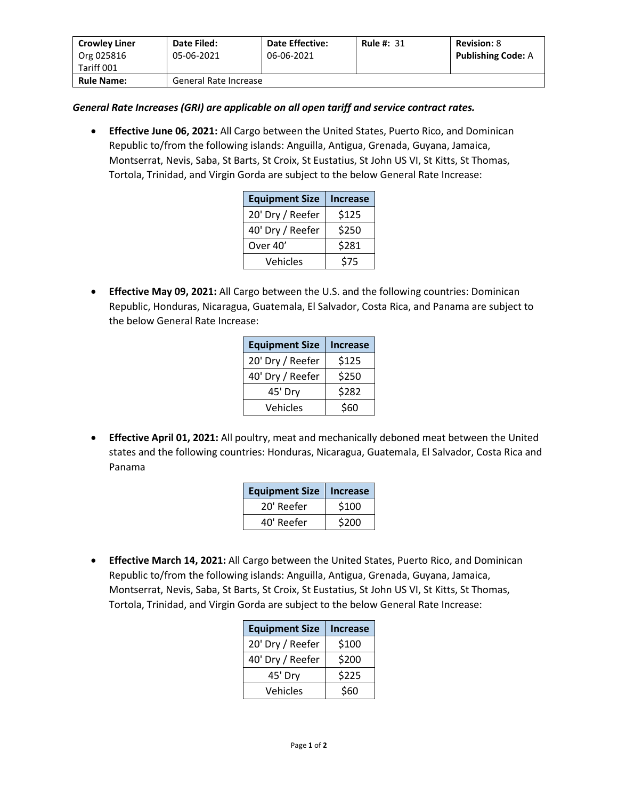| <b>Crowley Liner</b> | Date Filed:           | <b>Date Effective:</b> | <b>Rule #: 31</b> | <b>Revision: 8</b>        |
|----------------------|-----------------------|------------------------|-------------------|---------------------------|
| Org 025816           | 05-06-2021            | 06-06-2021             |                   | <b>Publishing Code: A</b> |
| Tariff 001           |                       |                        |                   |                           |
| <b>Rule Name:</b>    | General Rate Increase |                        |                   |                           |

## *General Rate Increases (GRI) are applicable on all open tariff and service contract rates.*

• **Effective June 06, 2021:** All Cargo between the United States, Puerto Rico, and Dominican Republic to/from the following islands: Anguilla, Antigua, Grenada, Guyana, Jamaica, Montserrat, Nevis, Saba, St Barts, St Croix, St Eustatius, St John US VI, St Kitts, St Thomas, Tortola, Trinidad, and Virgin Gorda are subject to the below General Rate Increase:

| <b>Equipment Size</b> | <b>Increase</b> |
|-----------------------|-----------------|
| 20' Dry / Reefer      | \$125           |
| 40' Dry / Reefer      | \$250           |
| Over 40'              | \$281           |
| Vehicles              | \$75            |

• **Effective May 09, 2021:** All Cargo between the U.S. and the following countries: Dominican Republic, Honduras, Nicaragua, Guatemala, El Salvador, Costa Rica, and Panama are subject to the below General Rate Increase:

| <b>Equipment Size</b> | <b>Increase</b> |
|-----------------------|-----------------|
| 20' Dry / Reefer      | \$125           |
| 40' Dry / Reefer      | \$250           |
| 45' Dry               | \$282           |
| Vehicles              | \$60            |

• **Effective April 01, 2021:** All poultry, meat and mechanically deboned meat between the United states and the following countries: Honduras, Nicaragua, Guatemala, El Salvador, Costa Rica and Panama

| <b>Equipment Size</b> | <b>Increase</b> |
|-----------------------|-----------------|
| 20' Reefer            | \$100           |
| 40' Reefer            | \$200           |

• **Effective March 14, 2021:** All Cargo between the United States, Puerto Rico, and Dominican Republic to/from the following islands: Anguilla, Antigua, Grenada, Guyana, Jamaica, Montserrat, Nevis, Saba, St Barts, St Croix, St Eustatius, St John US VI, St Kitts, St Thomas, Tortola, Trinidad, and Virgin Gorda are subject to the below General Rate Increase:

| <b>Equipment Size</b> | <b>Increase</b> |
|-----------------------|-----------------|
| 20' Dry / Reefer      | \$100           |
| 40' Dry / Reefer      | \$200           |
| 45' Dry               | \$225           |
| Vehicles              | \$60            |